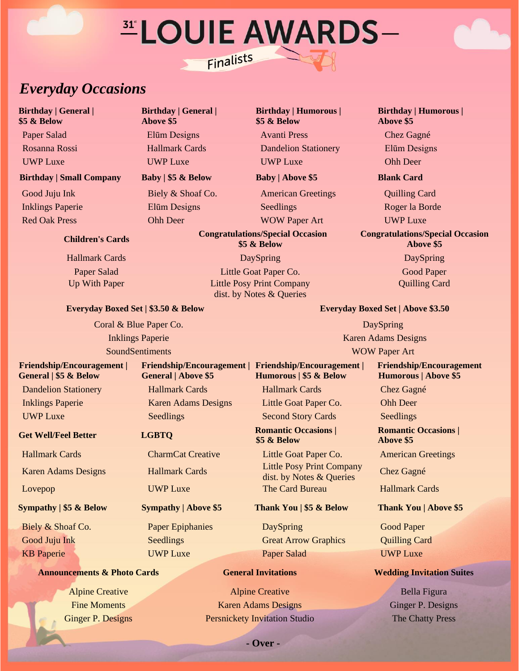# *ELOUIE AWARDS-*Finalists

# *Everyday Occasions*

**Birthday | General | \$5 & Below**

# **Birthday | Small Company Baby | \$5 & Below Baby | Above \$5 Blank Card**

# **Children's Cards**

**Birthday | General | Above \$5**

**Birthday | Humorous | \$5 & Below** Paper Salad Elūm Designs Avanti Press Chez Gagné

Rosanna Rossi Hallmark Cards Dandelion Stationery Elūm Designs UWP Luxe UWP Luxe UWP Luxe Ohh Deer

Good Juju Ink Biely & Shoaf Co. American Greetings Quilling Card Inklings Paperie Elūm Designs Seedlings Roger la Borde Red Oak Press **Ohh Deer WOW Paper Art** UWP Luxe

**Humorous | \$5 & Below**

**\$5 & Below**

**Congratulations/Special Occasion \$5 & Below**

Hallmark Cards DaySpring DaySpring DaySpring DaySpring DaySpring Paper Salad **Little Goat Paper Co.** Good Paper Co. Up With Paper Little Posy Print Company dist. by Notes & Queries

**Friendship/Encouragement | Friendship/Encouragement |**

**Birthday | Humorous | Above \$5**

### **Congratulations/Special Occasion Above \$5**

Quilling Card

# **Everyday Boxed Set | \$3.50 & Below Everyday Boxed Set | Above \$3.50**

**Coral & Blue Paper Co.** DaySpring

### **Friendship/Encouragement | General | \$5 & Below**

**Get Well/Feel Better LGBTO Romantic Occasions** |

Karen Adams Designs Hallmark Cards Little Posy Print Company

Biely & Shoaf Co. **Paper Epiphanies** DaySpring Good Paper Good Juju Ink Seedlings Seedlings Great Arrow Graphics Quilling Card **KB Paperie COVID LUXE COVID-LUXE COVID-20 ACCORDING PAPER Salad COVID-LUXE** 

# **Announcements & Photo Cards General Invitations Wedding Invitation Suites**

**General | Above \$5** Dandelion Stationery Hallmark Cards Hallmark Cards Chez Gagné Inklings Paperie Karen Adams Designs Little Goat Paper Co. Ohh Deer UWP Luxe Seedlings Seedlings Second Story Cards Seedlings

Hallmark Cards CharmCat Creative Little Goat Paper Co. American Greetings

Alpine Creative Alpine Creative Bella Figura Fine Moments **Karen Adams Designs** Ginger P. Designs Ginger P. Designs Ginger P. Designs Persnickety Invitation Studio The Chatty Press

Inklings Paperie Karen Adams Designs SoundSentiments WOW Paper Art

# **Friendship/Encouragement Humorous | Above \$5**

**Romantic Occasions | Above \$5**

dist. by Notes & Queries Chez Gagné

Lovepop UWP Luxe The Card Bureau Hallmark Cards

# **Sympathy | \$5 & Below Sympathy | Above \$5 Thank You | \$5 & Below Thank You | Above \$5**

**- Over -**